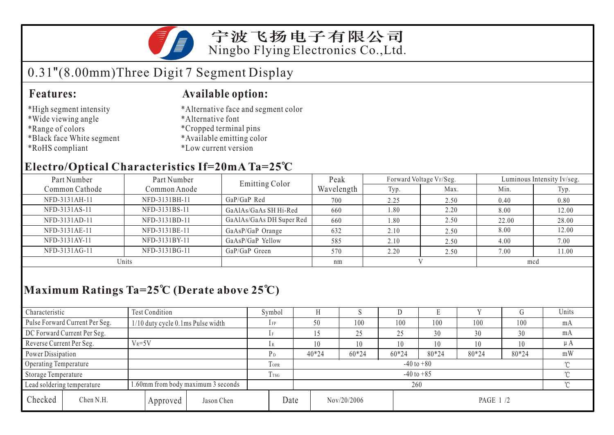

宁波飞扬电子有限公司 Ningbo Flying Electronics Co.,Ltd.

# 0.31"(8.00mm)Three Digit 7 Segment Display

### **Features: Available option:**

- \*High segment intensity
- \*Wide viewing angle
- \*Range of colors
- \*Black face White segment
- \*RoHS compliant

\*Alternative face and segment color

- \*Alternative font
- \*Cropped terminal pins
- \*Available emitting color
- \*Low current version

### **Electro/Optical Characteristics If=20mA Ta=25 C**

| Part Number    | Part Number   | <b>Emitting Color</b>    | Peak       |      | Forward Voltage VF/Seg. | Luminous Intensity Iv/seg. |       |  |
|----------------|---------------|--------------------------|------------|------|-------------------------|----------------------------|-------|--|
| Common Cathode | Common Anode  |                          | Wavelength | Typ. | Max.                    | Min.                       | Typ.  |  |
| NFD-3131AH-11  | NFD-3131BH-11 | $GaP/GaP$ Red            | 700        | 2.25 | 2.50                    | 0.40                       | 0.80  |  |
| NFD-3131AS-11  | NFD-3131BS-11 | GaAlAs/GaAs SH Hi-Red    | 660        | 1.80 | 2.20                    | 8.00                       | 12.00 |  |
| NFD-3131AD-11  | NFD-3131BD-11 | GaAlAs/GaAs DH Super Red | 660        | 1.80 | 2.50                    | 22.00                      | 28.00 |  |
| NFD-3131AE-11  | NFD-3131BE-11 | GaAsP/GaP Orange         | 632        | 2.10 | 2.50                    | 8.00                       | 12.00 |  |
| NFD-3131AY-11  | NFD-3131BY-11 | GaAsP/GaP Yellow         | 585        | 2.10 | 2.50                    | 4.00                       | 7.00  |  |
| NFD-3131AG-11  | NFD-3131BG-11 | GaP/GaP Green            | 570        | 2.20 | 2.50                    | 7.00                       | 11.00 |  |
| Units          |               |                          | nm         |      |                         | mcd                        |       |  |

## **Maximum Ratings Ta=25 C (Derate above 25 C)**

| Characteristic                                                   |           | Test Condition                    |            | Symbol          |                |         | ×.          |       | Е         |     |     | Units |  |
|------------------------------------------------------------------|-----------|-----------------------------------|------------|-----------------|----------------|---------|-------------|-------|-----------|-----|-----|-------|--|
| Pulse Forward Current Per Seg.                                   |           | 1/10 duty cycle 0.1ms Pulse width |            | $1$ FP          |                | 50      | 100         | 100   | 100       | 100 | 100 | mA    |  |
| DC Forward Current Per Seg.                                      |           |                                   |            |                 |                | 25      | 25          | 30    | 30        | 30  | mA  |       |  |
| Reverse Current Per Seg.<br>$V_R = 5V$                           |           | lR                                |            | 10              | 10             | 10      | 10          | 10    | 10        | μA  |     |       |  |
| Power Dissipation                                                |           | P <sub>D</sub>                    |            | $40*24$         | $60*24$        | $60*24$ | 80*24       | 80*24 | 80*24     | mW  |     |       |  |
| Operating Temperature                                            |           |                                   |            | TOPR            | $-40$ to $+80$ |         |             |       |           |     |     |       |  |
| Storage Temperature                                              |           |                                   |            | T <sub>sg</sub> | $-40$ to $+85$ |         |             |       |           |     |     |       |  |
| 1.60mm from body maximum 3 seconds<br>Lead soldering temperature |           |                                   |            |                 | 260            |         |             |       |           |     |     |       |  |
| Checked                                                          | Chen N.H. | Approved                          | Jason Chen |                 | Date           |         | Nov/20/2006 |       | PAGE 1 /2 |     |     |       |  |